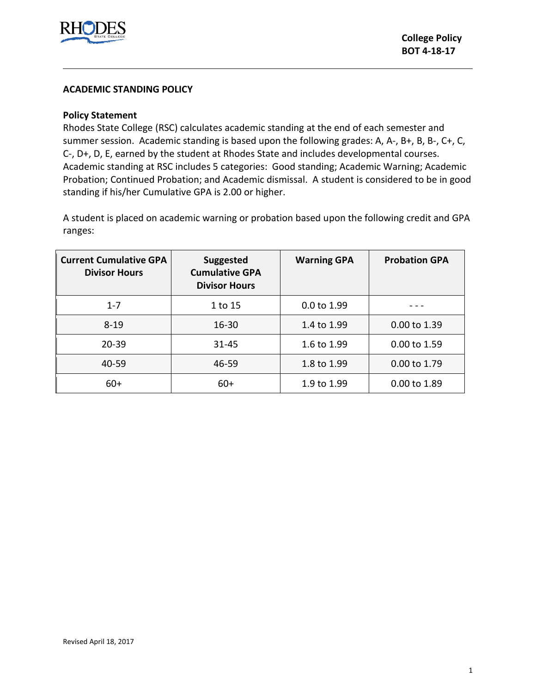

### **ACADEMIC STANDING POLICY**

# **Policy Statement**

Rhodes State College (RSC) calculates academic standing at the end of each semester and summer session. Academic standing is based upon the following grades: A, A-, B+, B, B-, C+, C, C-, D+, D, E, earned by the student at Rhodes State and includes developmental courses. Academic standing at RSC includes 5 categories: Good standing; Academic Warning; Academic Probation; Continued Probation; and Academic dismissal. A student is considered to be in good standing if his/her Cumulative GPA is 2.00 or higher.

A student is placed on academic warning or probation based upon the following credit and GPA ranges:

| <b>Current Cumulative GPA</b><br><b>Divisor Hours</b> | <b>Suggested</b><br><b>Cumulative GPA</b><br><b>Divisor Hours</b> | <b>Warning GPA</b> | <b>Probation GPA</b> |
|-------------------------------------------------------|-------------------------------------------------------------------|--------------------|----------------------|
| $1 - 7$                                               | 1 to 15                                                           | 0.0 to 1.99        |                      |
| $8 - 19$                                              | $16 - 30$                                                         | 1.4 to 1.99        | 0.00 to 1.39         |
| $20 - 39$                                             | 31-45                                                             | 1.6 to 1.99        | 0.00 to 1.59         |
| 40-59                                                 | 46-59                                                             | 1.8 to 1.99        | $0.00$ to 1.79       |
| $60+$                                                 | $60+$                                                             | 1.9 to 1.99        | 0.00 to 1.89         |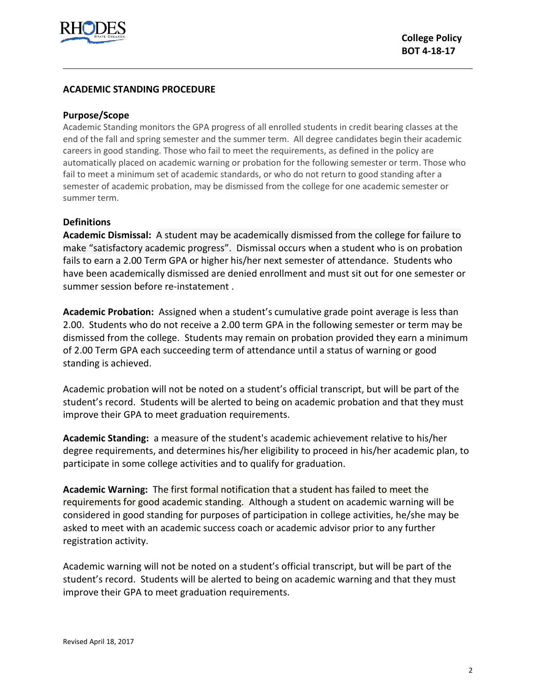

# **ACADEMIC STANDING PROCEDURE**

#### **Purpose/Scope**

Academic Standing monitors the GPA progress of all enrolled students in credit bearing classes at the end of the fall and spring semester and the summer term. All degree candidates begin their academic careers in good standing. Those who fail to meet the requirements, as defined in the policy are automatically placed on academic warning or probation for the following semester or term. Those who fail to meet a minimum set of academic standards, or who do not return to good standing after a semester of academic probation, may be dismissed from the college for one academic semester or summer term.

#### **Definitions**

**Academic Dismissal:** A student may be academically dismissed from the college for failure to make "satisfactory academic progress". Dismissal occurs when a student who is on probation fails to earn a 2.00 Term GPA or higher his/her next semester of attendance. Students who have been academically dismissed are denied enrollment and must sit out for one semester or summer session before re-instatement .

**Academic Probation:** Assigned when a student's cumulative grade point average is less than 2.00.Students who do not receive a 2.00 term GPA in the following semester or term may be dismissed from the college.Students may remain on probation provided they earn a minimum of 2.00 Term GPA each succeeding term of attendance until a status of warning or good standing is achieved.

Academic probation will not be noted on a student's official transcript, but will be part of the student's record. Students will be alerted to being on academic probation and that they must improve their GPA to meet graduation requirements.

**Academic Standing:** a measure of the student's academic achievement relative to his/her degree requirements, and determines his/her eligibility to proceed in his/her academic plan, to participate in some college activities and to qualify for graduation.

**Academic Warning:** The first formal notification that a student has failed to meet the requirements for good academic standing. Although a student on academic warning will be considered in good standing for purposes of participation in college activities, he/she may be asked to meet with an academic success coach or academic advisor prior to any further registration activity.

Academic warning will not be noted on a student's official transcript, but will be part of the student's record. Students will be alerted to being on academic warning and that they must improve their GPA to meet graduation requirements.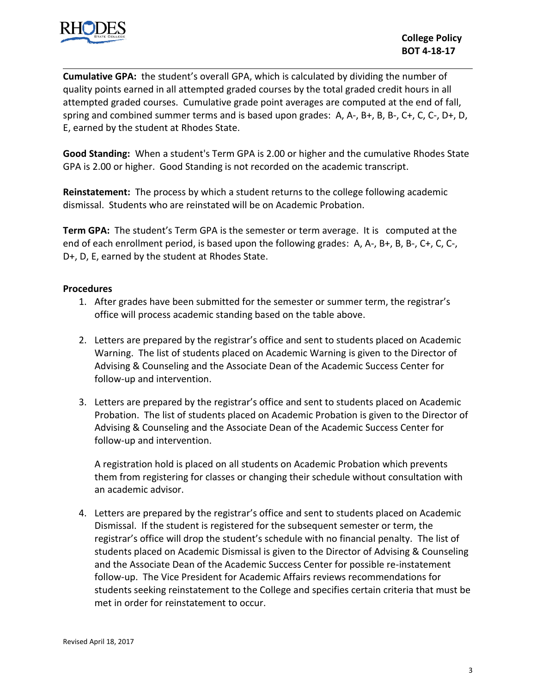

**Cumulative GPA:** the student's overall GPA, which is calculated by dividing the number of quality points earned in all attempted graded courses by the total graded credit hours in all attempted graded courses. Cumulative grade point averages are computed at the end of fall, spring and combined summer terms and is based upon grades: A, A-, B+, B, B-, C+, C, C-, D+, D, E, earned by the student at Rhodes State.

**Good Standing:** When a student's Term GPA is 2.00 or higher and the cumulative Rhodes State GPA is 2.00 or higher. Good Standing is not recorded on the academic transcript.

**Reinstatement:** The process by which a student returns to the college following academic dismissal. Students who are reinstated will be on Academic Probation.

**Term GPA:** The student's Term GPA is the semester or term average. It is computed at the end of each enrollment period, is based upon the following grades: A, A-, B+, B, B-, C+, C, C-, D+, D, E, earned by the student at Rhodes State.

# **Procedures**

- 1. After grades have been submitted for the semester or summer term, the registrar's office will process academic standing based on the table above.
- 2. Letters are prepared by the registrar's office and sent to students placed on Academic Warning. The list of students placed on Academic Warning is given to the Director of Advising & Counseling and the Associate Dean of the Academic Success Center for follow-up and intervention.
- 3. Letters are prepared by the registrar's office and sent to students placed on Academic Probation. The list of students placed on Academic Probation is given to the Director of Advising & Counseling and the Associate Dean of the Academic Success Center for follow-up and intervention.

A registration hold is placed on all students on Academic Probation which prevents them from registering for classes or changing their schedule without consultation with an academic advisor.

4. Letters are prepared by the registrar's office and sent to students placed on Academic Dismissal. If the student is registered for the subsequent semester or term, the registrar's office will drop the student's schedule with no financial penalty. The list of students placed on Academic Dismissal is given to the Director of Advising & Counseling and the Associate Dean of the Academic Success Center for possible re-instatement follow-up. The Vice President for Academic Affairs reviews recommendations for students seeking reinstatement to the College and specifies certain criteria that must be met in order for reinstatement to occur.